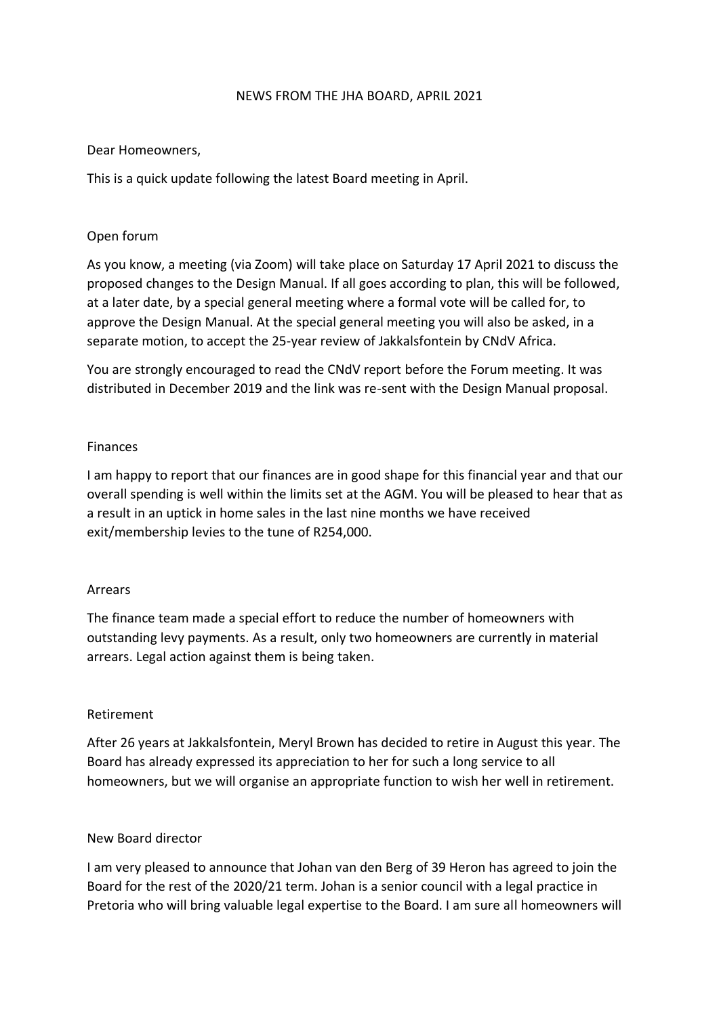#### NEWS FROM THE JHA BOARD, APRIL 2021

#### Dear Homeowners,

This is a quick update following the latest Board meeting in April.

## Open forum

As you know, a meeting (via Zoom) will take place on Saturday 17 April 2021 to discuss the proposed changes to the Design Manual. If all goes according to plan, this will be followed, at a later date, by a special general meeting where a formal vote will be called for, to approve the Design Manual. At the special general meeting you will also be asked, in a separate motion, to accept the 25-year review of Jakkalsfontein by CNdV Africa.

You are strongly encouraged to read the CNdV report before the Forum meeting. It was distributed in December 2019 and the link was re-sent with the Design Manual proposal.

## Finances

I am happy to report that our finances are in good shape for this financial year and that our overall spending is well within the limits set at the AGM. You will be pleased to hear that as a result in an uptick in home sales in the last nine months we have received exit/membership levies to the tune of R254,000.

#### Arrears

The finance team made a special effort to reduce the number of homeowners with outstanding levy payments. As a result, only two homeowners are currently in material arrears. Legal action against them is being taken.

#### Retirement

After 26 years at Jakkalsfontein, Meryl Brown has decided to retire in August this year. The Board has already expressed its appreciation to her for such a long service to all homeowners, but we will organise an appropriate function to wish her well in retirement.

#### New Board director

I am very pleased to announce that Johan van den Berg of 39 Heron has agreed to join the Board for the rest of the 2020/21 term. Johan is a senior council with a legal practice in Pretoria who will bring valuable legal expertise to the Board. I am sure all homeowners will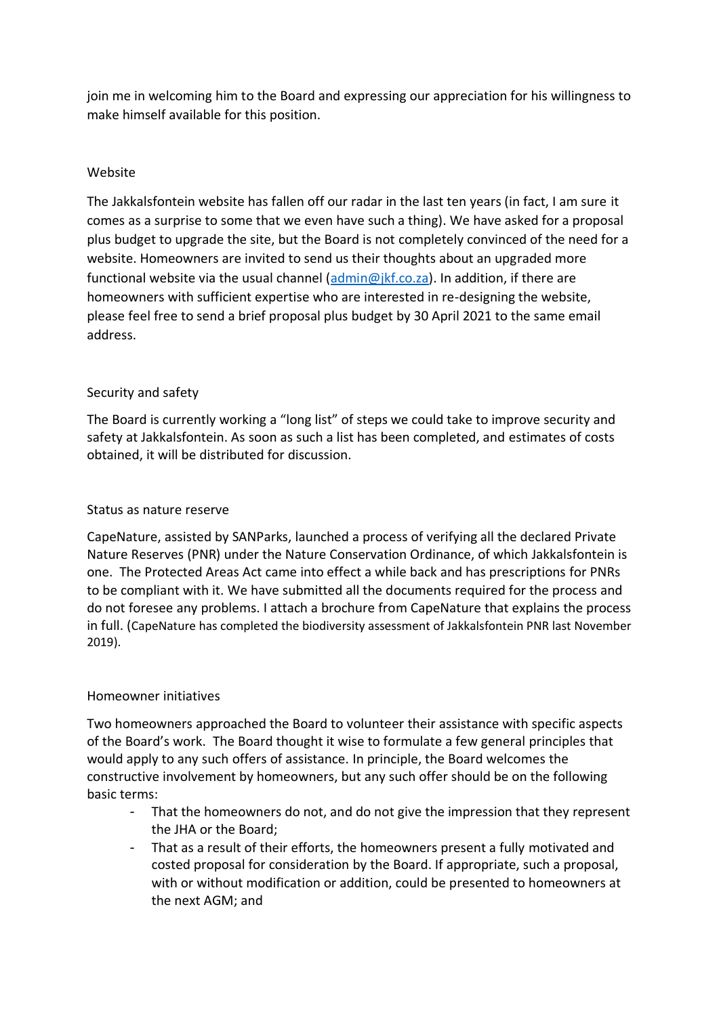join me in welcoming him to the Board and expressing our appreciation for his willingness to make himself available for this position.

# Website

The Jakkalsfontein website has fallen off our radar in the last ten years (in fact, I am sure it comes as a surprise to some that we even have such a thing). We have asked for a proposal plus budget to upgrade the site, but the Board is not completely convinced of the need for a website. Homeowners are invited to send us their thoughts about an upgraded more functional website via the usual channel  $(\underline{\text{admin@}}; kf.co.za)$ . In addition, if there are homeowners with sufficient expertise who are interested in re-designing the website, please feel free to send a brief proposal plus budget by 30 April 2021 to the same email address.

## Security and safety

The Board is currently working a "long list" of steps we could take to improve security and safety at Jakkalsfontein. As soon as such a list has been completed, and estimates of costs obtained, it will be distributed for discussion.

### Status as nature reserve

CapeNature, assisted by SANParks, launched a process of verifying all the declared Private Nature Reserves (PNR) under the Nature Conservation Ordinance, of which Jakkalsfontein is one. The Protected Areas Act came into effect a while back and has prescriptions for PNRs to be compliant with it. We have submitted all the documents required for the process and do not foresee any problems. I attach a brochure from CapeNature that explains the process in full. (CapeNature has completed the biodiversity assessment of Jakkalsfontein PNR last November 2019).

#### Homeowner initiatives

Two homeowners approached the Board to volunteer their assistance with specific aspects of the Board's work. The Board thought it wise to formulate a few general principles that would apply to any such offers of assistance. In principle, the Board welcomes the constructive involvement by homeowners, but any such offer should be on the following basic terms:

- That the homeowners do not, and do not give the impression that they represent the JHA or the Board;
- That as a result of their efforts, the homeowners present a fully motivated and costed proposal for consideration by the Board. If appropriate, such a proposal, with or without modification or addition, could be presented to homeowners at the next AGM; and